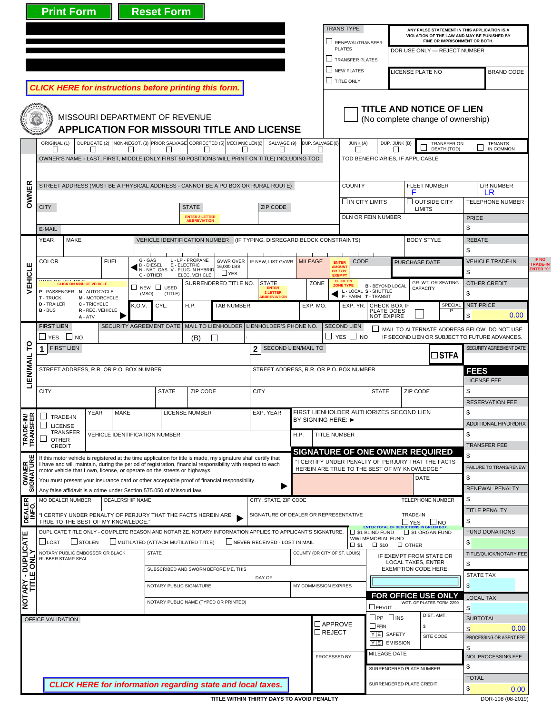|                                                        | <b>Print Form</b>                                                                                                                                                                       |                                                |                                                                              |                               | <b>Reset Form</b>                                        |                                  |                                                                                      |                                                                        |                             |                                                                                                     |                                                                |                                                                   |                                                                                             |                                                                      |                               |                                             |       |
|--------------------------------------------------------|-----------------------------------------------------------------------------------------------------------------------------------------------------------------------------------------|------------------------------------------------|------------------------------------------------------------------------------|-------------------------------|----------------------------------------------------------|----------------------------------|--------------------------------------------------------------------------------------|------------------------------------------------------------------------|-----------------------------|-----------------------------------------------------------------------------------------------------|----------------------------------------------------------------|-------------------------------------------------------------------|---------------------------------------------------------------------------------------------|----------------------------------------------------------------------|-------------------------------|---------------------------------------------|-------|
|                                                        |                                                                                                                                                                                         |                                                |                                                                              |                               |                                                          |                                  |                                                                                      |                                                                        |                             |                                                                                                     | <b>TRANS TYPE</b>                                              |                                                                   | ANY FALSE STATEMENT IN THIS APPLICATION IS A<br>VIOLATION OF THE LAW AND MAY BE PUNISHED BY |                                                                      |                               |                                             |       |
|                                                        | RENEWAL/TRANSFER<br><b>PLATES</b>                                                                                                                                                       |                                                |                                                                              |                               |                                                          |                                  |                                                                                      |                                                                        |                             | FINE OR IMPRISONMENT OR BOTH.<br>DOR USE ONLY - REJECT NUMBER                                       |                                                                |                                                                   |                                                                                             |                                                                      |                               |                                             |       |
|                                                        |                                                                                                                                                                                         |                                                |                                                                              |                               |                                                          |                                  |                                                                                      |                                                                        |                             |                                                                                                     | TRANSFER PLATES<br>NEW PLATES                                  |                                                                   |                                                                                             | LICENSE PLATE NO                                                     |                               | <b>BRAND CODE</b>                           |       |
|                                                        | <b>CLICK HERE for instructions before printing this form.</b>                                                                                                                           |                                                |                                                                              |                               |                                                          |                                  |                                                                                      |                                                                        |                             |                                                                                                     | <b>I TITLE ONLY</b>                                            |                                                                   |                                                                                             |                                                                      |                               |                                             |       |
|                                                        |                                                                                                                                                                                         |                                                | MISSOURI DEPARTMENT OF REVENUE                                               |                               |                                                          |                                  |                                                                                      | <b>APPLICATION FOR MISSOURI TITLE AND LICENSE</b>                      |                             |                                                                                                     |                                                                |                                                                   |                                                                                             | <b>TITLE AND NOTICE OF LIEN</b><br>(No complete change of ownership) |                               |                                             |       |
|                                                        | ORIGINAL (1)<br>$\Box$                                                                                                                                                                  | П                                              | $\Box$                                                                       |                               | П                                                        | П                                | DUPLICATE (2) NON-NEGOT. (3) PRIOR SALVAGE CORRECTED (5) MECHANIC LIEN (6)<br>$\Box$ | SALVAGE (9)<br>П                                                       |                             | DUP. SALVAGE (0)<br>$\Box$                                                                          | JUNK (A)<br>$\Box$                                             |                                                                   | DUP. JUNK (B)<br>П                                                                          | <b>TRANSFER ON</b><br>DEATH (TOD)                                    |                               | <b>TENANTS</b><br>IN COMMON                 |       |
|                                                        | OWNER'S NAME - LAST, FIRST, MIDDLE (ONLY FIRST 50 POSITIONS WILL PRINT ON TITLE) INCLUDING TOD                                                                                          |                                                |                                                                              |                               |                                                          |                                  |                                                                                      | TOD BENEFICIARIES, IF APPLICABLE                                       |                             |                                                                                                     |                                                                |                                                                   |                                                                                             |                                                                      |                               |                                             |       |
|                                                        |                                                                                                                                                                                         |                                                |                                                                              |                               |                                                          |                                  |                                                                                      |                                                                        |                             |                                                                                                     |                                                                |                                                                   |                                                                                             |                                                                      |                               |                                             |       |
| <b>OWNER</b>                                           | STREET ADDRESS (MUST BE A PHYSICAL ADDRESS - CANNOT BE A PO BOX OR RURAL ROUTE)                                                                                                         |                                                |                                                                              |                               |                                                          |                                  |                                                                                      |                                                                        |                             |                                                                                                     |                                                                | <b>COUNTY</b>                                                     |                                                                                             | <b>FLEET NUMBER</b><br>F                                             |                               | L/R NUMBER<br>LR                            |       |
| EHICLE                                                 | <b>CITY</b>                                                                                                                                                                             | ZIP CODE                                       |                                                                              |                               | $\square$ IN CITY LIMITS                                 |                                  | $\square$ OUTSIDE CITY<br><b>LIMITS</b>                                              |                                                                        |                             | <b>TELEPHONE NUMBER</b>                                                                             |                                                                |                                                                   |                                                                                             |                                                                      |                               |                                             |       |
|                                                        |                                                                                                                                                                                         |                                                |                                                                              |                               | DLN OR FEIN NUMBER                                       |                                  |                                                                                      |                                                                        |                             | <b>PRICE</b>                                                                                        |                                                                |                                                                   |                                                                                             |                                                                      |                               |                                             |       |
|                                                        | E-MAIL<br><b>MAKE</b><br>YEAR                                                                                                                                                           |                                                |                                                                              |                               |                                                          |                                  |                                                                                      | VEHICLE IDENTIFICATION NUMBER (IF TYPING, DISREGARD BLOCK CONSTRAINTS) |                             |                                                                                                     |                                                                |                                                                   |                                                                                             | <b>BODY STYLE</b>                                                    | \$<br><b>REBATE</b>           |                                             |       |
|                                                        |                                                                                                                                                                                         |                                                |                                                                              |                               |                                                          |                                  |                                                                                      |                                                                        |                             |                                                                                                     |                                                                |                                                                   |                                                                                             |                                                                      | \$                            |                                             | IF NO |
|                                                        | <b>COLOR</b><br><b>FUEL</b>                                                                                                                                                             |                                                |                                                                              |                               | G - GAS<br>D - DIESEL<br>N - NAT. GAS V - PLUG-IN HYBRID | L - LP - PROPANE<br>E - ELECTRIC | <b>GVWR OVER</b><br>16,000 LBS                                                       | IF NEW, LIST GVWR                                                      | <b>MILEAGE</b>              |                                                                                                     | <b>CODE</b><br><b>ENTER</b><br><b>AMOUNT</b><br><b>OR TYPE</b> |                                                                   | <b>PURCHASE DATE</b>                                                                        |                                                                      |                               | <b>VEHICLE TRADE-IN</b><br>\$               |       |
|                                                        | CLICK ON KIND OF VEHICLE                                                                                                                                                                |                                                |                                                                              |                               | O - OTHER                                                | ELEC. VEHICLE                    | $L$ YES<br>SURRENDERED TITLE NO.                                                     | <b>STATE</b><br><b>ENTER</b>                                           |                             | ZONE                                                                                                | <b>EXEMPT</b><br><b>CLICK ON</b><br><b>ZONE TYPE</b>           | <b>B</b> - BEYOND LOCAL                                           |                                                                                             | GR. WT. OR SEATING                                                   |                               | <b>OTHER CREDIT</b>                         |       |
|                                                        | P-PASSENGER N-AUTOCYCLE<br><b>T</b> - TRUCK                                                                                                                                             | M - MOTORCYCLE                                 |                                                                              | (MSO)                         | $\Box$ New $\Box$ USED<br>(TITLE)                        |                                  |                                                                                      | 2 LETTER<br><b>BBREVIATION</b>                                         |                             |                                                                                                     |                                                                | L - LOCAL S - SHUTTLE<br>F-FARM T-TRANSIT                         |                                                                                             | <b>CAPACITY</b>                                                      |                               | \$                                          |       |
|                                                        | <b>D</b> - TRAILER<br>$B - BUS$                                                                                                                                                         | C - TRICYCLE<br>R - REC. VEHICLE<br>A - ATV    |                                                                              | K.O.V.                        | CYL.                                                     | H.P.                             | <b>TAB NUMBER</b>                                                                    |                                                                        |                             | EXP. MO.                                                                                            | EXP. YR.                                                       | CHECK BOX IF<br>PLATE DOES<br><b>NOT EXPIRE</b>                   |                                                                                             | SPECIAL                                                              | \$                            | <b>NET PRICE</b><br>0.00                    |       |
|                                                        | <b>FIRST LIEN</b>                                                                                                                                                                       |                                                |                                                                              |                               |                                                          |                                  |                                                                                      | SECURITY AGREEMENT DATE   MAIL TO LIENHOLDER   LIENHOLDER'S PHONE NO.  |                             |                                                                                                     | <b>SECOND LIEN</b>                                             | $\mathsf{L}$                                                      |                                                                                             |                                                                      |                               | MAIL TO ALTERNATE ADDRESS BELOW. DO NOT USE |       |
| ဥ                                                      | ∐ yes ∐ no<br><b>FIRST LIEN</b>                                                                                                                                                         | SECOND LIEN/MAIL TO<br>$\mathbf{2}$            |                                                                              |                               | $\Box$ yes $\Box$ no                                     |                                  | IF SECOND LIEN OR SUBJECT TO FUTURE ADVANCES.                                        |                                                                        |                             | SECURITY AGREEMENT DATE                                                                             |                                                                |                                                                   |                                                                                             |                                                                      |                               |                                             |       |
| LIENMAIL                                               | 1                                                                                                                                                                                       |                                                |                                                                              |                               |                                                          |                                  |                                                                                      |                                                                        | ∃STFA                       |                                                                                                     |                                                                |                                                                   |                                                                                             |                                                                      |                               |                                             |       |
|                                                        | STREET ADDRESS, R.R. OR P.O. BOX NUMBER                                                                                                                                                 |                                                | STREET ADDRESS, R.R. OR P.O. BOX NUMBER<br><b>FEES</b><br><b>LICENSE FEE</b> |                               |                                                          |                                  |                                                                                      |                                                                        |                             |                                                                                                     |                                                                |                                                                   |                                                                                             |                                                                      |                               |                                             |       |
|                                                        | <b>CITY</b>                                                                                                                                                                             |                                                |                                                                              |                               | <b>STATE</b><br>ZIP CODE                                 |                                  |                                                                                      | <b>CITY</b>                                                            |                             |                                                                                                     | <b>STATE</b>                                                   |                                                                   |                                                                                             | ZIP CODE                                                             |                               |                                             |       |
|                                                        |                                                                                                                                                                                         |                                                |                                                                              |                               | <b>LICENSE NUMBER</b>                                    |                                  |                                                                                      |                                                                        |                             |                                                                                                     |                                                                | FIRST LIENHOLDER AUTHORIZES SECOND LIEN                           |                                                                                             |                                                                      |                               | <b>RESERVATION FEE</b>                      |       |
| TRADE-IN/<br>TRANSFER<br>ш<br><b>OWNER</b><br>IGNATURI | YEAR<br>MAKE<br>$\overline{\phantom{a}}$<br>TRADE-IN<br>$\vert \ \ \vert$<br><b>LICENSE</b>                                                                                             |                                                |                                                                              |                               |                                                          |                                  |                                                                                      | EXP. YEAR                                                              |                             | BY SIGNING HERE: ▶                                                                                  |                                                                |                                                                   |                                                                                             |                                                                      |                               | \$<br><b>ADDITIONAL HP/DR/DRX</b>           |       |
|                                                        | TRANSFER<br><b>OTHER</b><br>$\sqcup$                                                                                                                                                    |                                                |                                                                              |                               | <b>VEHICLE IDENTIFICATION NUMBER</b>                     |                                  |                                                                                      |                                                                        | <b>TITLE NUMBER</b><br>H.P. |                                                                                                     |                                                                |                                                                   |                                                                                             |                                                                      |                               |                                             |       |
|                                                        | <b>CREDIT</b><br>If this motor vehicle is registered at the time application for title is made, my signature shall certify that                                                         |                                                |                                                                              |                               |                                                          |                                  |                                                                                      |                                                                        |                             | <b>SIGNATURE OF ONE OWNER REQUIRED</b>                                                              |                                                                |                                                                   |                                                                                             | \$                                                                   | <b>TRANSFER FEE</b>           |                                             |       |
|                                                        | I have and will maintain, during the period of registration, financial responsibility with respect to each<br>motor vehicle that I own, license, or operate on the streets or highways. |                                                |                                                                              |                               |                                                          |                                  |                                                                                      |                                                                        |                             | "I CERTIFY UNDER PENALTY OF PERJURY THAT THE FACTS<br>HEREIN ARE TRUE TO THE BEST OF MY KNOWLEDGE." |                                                                |                                                                   |                                                                                             |                                                                      | <b>FAILURE TO TRANS/RENEW</b> |                                             |       |
|                                                        | You must present your insurance card or other acceptable proof of financial responsibility.                                                                                             |                                                |                                                                              |                               |                                                          |                                  |                                                                                      |                                                                        |                             |                                                                                                     |                                                                |                                                                   | DATE                                                                                        |                                                                      | \$                            | <b>RENEWAL PENALTY</b>                      |       |
| ぁ                                                      | Any false affidavit is a crime under Section 575.050 of Missouri law.<br><b>MO DEALER NUMBER</b>                                                                                        |                                                | <b>DEALERSHIP NAME</b>                                                       |                               |                                                          |                                  |                                                                                      | CITY, STATE, ZIP CODE                                                  |                             |                                                                                                     |                                                                |                                                                   |                                                                                             | TELEPHONE NUMBER                                                     | \$                            |                                             |       |
| DEALER<br>INFO.                                        | "I CERTIFY UNDER PENALTY OF PERJURY THAT THE FACTS HEREIN ARE                                                                                                                           |                                                |                                                                              |                               |                                                          |                                  |                                                                                      | SIGNATURE OF DEALER OR REPRESENTATIVE                                  |                             |                                                                                                     |                                                                |                                                                   |                                                                                             | TRADE-IN                                                             |                               | <b>TITLE PENALTY</b>                        |       |
|                                                        | TRUE TO THE BEST OF MY KNOWLEDGE.<br>DUPLICATE TITLE ONLY - COMPLETE REASON AND NOTARIZE. NOTARY INFORMATION APPLIES TO APPLICANT'S SIGNATURE.                                          |                                                |                                                                              |                               |                                                          |                                  |                                                                                      |                                                                        |                             |                                                                                                     |                                                                | <b>ENTER TOTAL OF DEDU</b><br>$\Box$ \$1 BLIND FUND               | $\Box$ YES                                                                                  | $\Box$ NO<br>S1 ORGAN FUND                                           | \$                            | <b>FUND DONATIONS</b>                       |       |
|                                                        | STOLEN<br>$\sqcup$ lost                                                                                                                                                                 | MUTILATED (ATTACH MUTILATED TITLE)             |                                                                              | NEVER RECEIVED - LOST IN MAIL |                                                          |                                  | $\square$ \$1                                                                        | WWI MEMORIAL FUND                                                      | $\Box$ \$10 $\Box$ OTHER    |                                                                                                     | \$                                                             |                                                                   |                                                                                             |                                                                      |                               |                                             |       |
| <b>NOTARY - DUPLICATE</b><br>TITLE ONLY                | NOTARY PUBLIC EMBOSSER OR BLACK<br>RUBBER STAMP SEAL                                                                                                                                    |                                                |                                                                              | COUNTY (OR CITY OF ST. LOUIS) | IF EXEMPT FROM STATE OR<br>LOCAL TAXES, ENTER            |                                  | \$                                                                                   | TITLE/QUICK/NOTARY FEE                                                 |                             |                                                                                                     |                                                                |                                                                   |                                                                                             |                                                                      |                               |                                             |       |
|                                                        |                                                                                                                                                                                         | SUBSCRIBED AND SWORN BEFORE ME, THIS<br>DAY OF |                                                                              |                               |                                                          |                                  | <b>EXEMPTION CODE HERE:</b>                                                          |                                                                        |                             | <b>STATE TAX</b>                                                                                    |                                                                |                                                                   |                                                                                             |                                                                      |                               |                                             |       |
|                                                        |                                                                                                                                                                                         |                                                |                                                                              |                               | NOTARY PUBLIC SIGNATURE                                  |                                  |                                                                                      | MY COMMISSION EXPIRES                                                  |                             |                                                                                                     |                                                                |                                                                   |                                                                                             |                                                                      | $\mathfrak{s}$                |                                             |       |
|                                                        | NOTARY PUBLIC NAME (TYPED OR PRINTED)                                                                                                                                                   |                                                |                                                                              |                               |                                                          |                                  |                                                                                      |                                                                        |                             |                                                                                                     |                                                                | FOR OFFICE USE ONLY<br>WGT. OF PLATES FORM 2290<br><b>O</b> FHVUT |                                                                                             |                                                                      |                               | <b>LOCAL TAX</b>                            |       |
|                                                        | OFFICE VALIDATION                                                                                                                                                                       |                                                |                                                                              |                               |                                                          |                                  |                                                                                      |                                                                        |                             | $\square$ APPROVE                                                                                   |                                                                | $\square$ PP $\square$ INS<br>$\Box$ FEIN                         |                                                                                             | DIST. AMT.                                                           | \$                            | <b>SUBTOTAL</b>                             |       |
|                                                        |                                                                                                                                                                                         |                                                |                                                                              |                               |                                                          |                                  |                                                                                      |                                                                        |                             | $\Box$ REJECT                                                                                       |                                                                | YE SAFETY                                                         |                                                                                             | \$<br>SITE CODE                                                      | $\mathsf{\$}$                 | 0.00<br>PROCESSING OR AGENT FEE             |       |
|                                                        |                                                                                                                                                                                         |                                                |                                                                              |                               |                                                          |                                  |                                                                                      |                                                                        |                             |                                                                                                     |                                                                | YE EMISSION<br>MILEAGE DATE                                       |                                                                                             |                                                                      | \$                            | NOL PROCESSING FEE                          |       |
| PROCESSED BY<br>SURRENDERED PLATE NUMBER               |                                                                                                                                                                                         |                                                |                                                                              |                               |                                                          |                                  |                                                                                      |                                                                        |                             |                                                                                                     |                                                                | \$                                                                |                                                                                             |                                                                      |                               |                                             |       |
|                                                        |                                                                                                                                                                                         |                                                |                                                                              |                               |                                                          |                                  |                                                                                      | <b>CLICK HERE for information regarding state and local taxes.</b>     |                             |                                                                                                     |                                                                | SURRENDERED PLATE CREDIT                                          |                                                                                             |                                                                      | <b>TOTAL</b>                  |                                             |       |
|                                                        |                                                                                                                                                                                         |                                                |                                                                              |                               |                                                          |                                  |                                                                                      | TITLE WITHIN THIRTY DAYS TO AVOID PENALTY                              |                             |                                                                                                     |                                                                |                                                                   |                                                                                             |                                                                      | $\mathsf{\$}$                 | 0.00<br>DOR-108 (08-2019)                   |       |